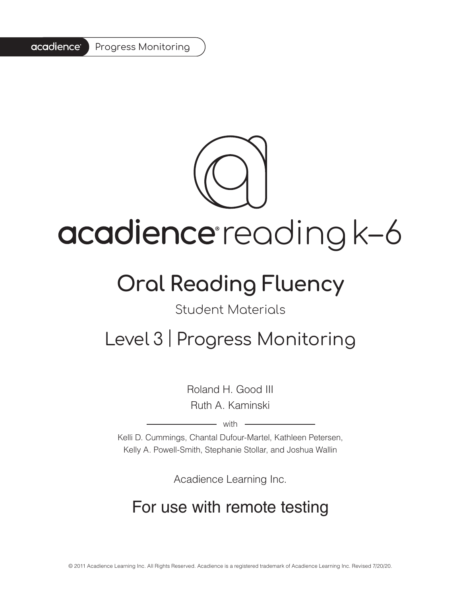#### acadience<sup>®</sup> Progress Monitoring



# acadience reading k-6

# **Oral Reading Fluency**

#### Student Materials

## Level 3 | Progress Monitoring

Roland H. Good III Ruth A. Kaminski

 $-$  with  $-$ 

Kelli D. Cummings, Chantal Dufour-Martel, Kathleen Petersen, Kelly A. Powell-Smith, Stephanie Stollar, and Joshua Wallin

Acadience Learning Inc.

### For use with remote testing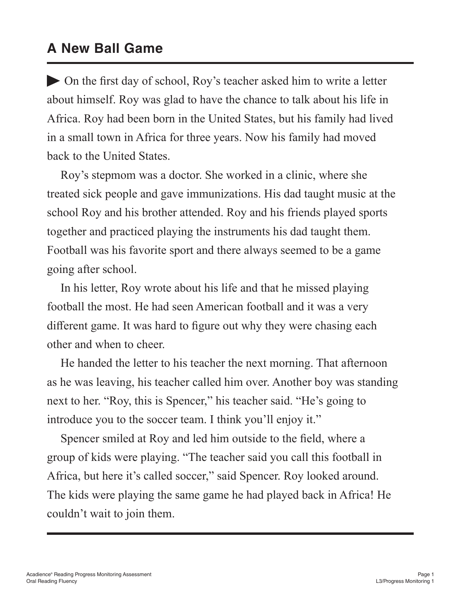#### **A New Ball Game**

 On the first day of school, Roy's teacher asked him to write a letter about himself. Roy was glad to have the chance to talk about his life in Africa. Roy had been born in the United States, but his family had lived in a small town in Africa for three years. Now his family had moved back to the United States.

 Roy's stepmom was a doctor. She worked in a clinic, where she treated sick people and gave immunizations. His dad taught music at the school Roy and his brother attended. Roy and his friends played sports together and practiced playing the instruments his dad taught them. Football was his favorite sport and there always seemed to be a game going after school.

 In his letter, Roy wrote about his life and that he missed playing football the most. He had seen American football and it was a very different game. It was hard to figure out why they were chasing each other and when to cheer.

 He handed the letter to his teacher the next morning. That afternoon as he was leaving, his teacher called him over. Another boy was standing next to her. "Roy, this is Spencer," his teacher said. "He's going to introduce you to the soccer team. I think you'll enjoy it."

 Spencer smiled at Roy and led him outside to the field, where a group of kids were playing. "The teacher said you call this football in Africa, but here it's called soccer," said Spencer. Roy looked around. The kids were playing the same game he had played back in Africa! He couldn't wait to join them.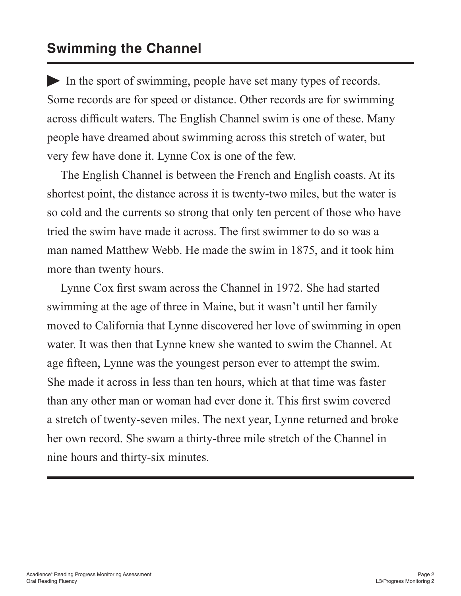#### **Swimming the Channel**

In the sport of swimming, people have set many types of records. Some records are for speed or distance. Other records are for swimming across difficult waters. The English Channel swim is one of these. Many people have dreamed about swimming across this stretch of water, but very few have done it. Lynne Cox is one of the few.

 The English Channel is between the French and English coasts. At its shortest point, the distance across it is twenty-two miles, but the water is so cold and the currents so strong that only ten percent of those who have tried the swim have made it across. The first swimmer to do so was a man named Matthew Webb. He made the swim in 1875, and it took him more than twenty hours.

 Lynne Cox first swam across the Channel in 1972. She had started swimming at the age of three in Maine, but it wasn't until her family moved to California that Lynne discovered her love of swimming in open water. It was then that Lynne knew she wanted to swim the Channel. At age fifteen, Lynne was the youngest person ever to attempt the swim. She made it across in less than ten hours, which at that time was faster than any other man or woman had ever done it. This first swim covered a stretch of twenty-seven miles. The next year, Lynne returned and broke her own record. She swam a thirty-three mile stretch of the Channel in nine hours and thirty-six minutes.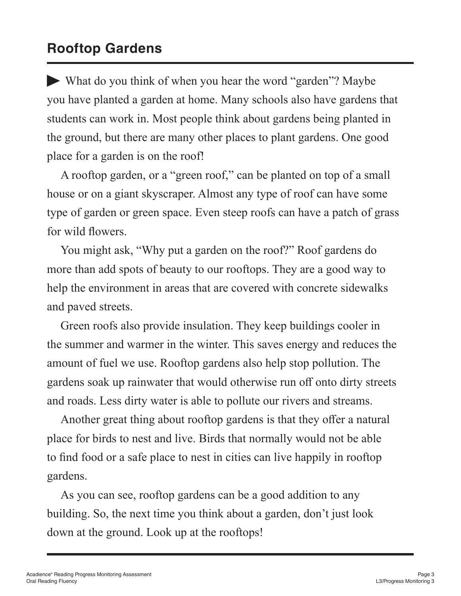#### **Rooftop Gardens**

 What do you think of when you hear the word "garden"? Maybe you have planted a garden at home. Many schools also have gardens that students can work in. Most people think about gardens being planted in the ground, but there are many other places to plant gardens. One good place for a garden is on the roof!

 A rooftop garden, or a "green roof," can be planted on top of a small house or on a giant skyscraper. Almost any type of roof can have some type of garden or green space. Even steep roofs can have a patch of grass for wild flowers.

 You might ask, "Why put a garden on the roof?" Roof gardens do more than add spots of beauty to our rooftops. They are a good way to help the environment in areas that are covered with concrete sidewalks and paved streets.

 Green roofs also provide insulation. They keep buildings cooler in the summer and warmer in the winter. This saves energy and reduces the amount of fuel we use. Rooftop gardens also help stop pollution. The gardens soak up rainwater that would otherwise run off onto dirty streets and roads. Less dirty water is able to pollute our rivers and streams.

 Another great thing about rooftop gardens is that they offer a natural place for birds to nest and live. Birds that normally would not be able to find food or a safe place to nest in cities can live happily in rooftop gardens.

 As you can see, rooftop gardens can be a good addition to any building. So, the next time you think about a garden, don't just look down at the ground. Look up at the rooftops!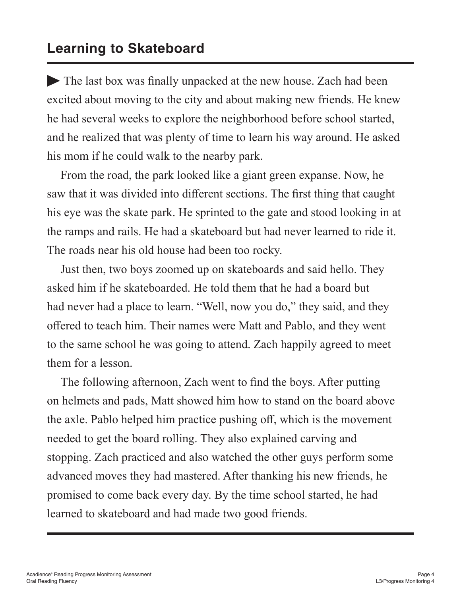#### **Learning to Skateboard**

 The last box was finally unpacked at the new house. Zach had been excited about moving to the city and about making new friends. He knew he had several weeks to explore the neighborhood before school started, and he realized that was plenty of time to learn his way around. He asked his mom if he could walk to the nearby park.

 From the road, the park looked like a giant green expanse. Now, he saw that it was divided into different sections. The first thing that caught his eye was the skate park. He sprinted to the gate and stood looking in at the ramps and rails. He had a skateboard but had never learned to ride it. The roads near his old house had been too rocky.

 Just then, two boys zoomed up on skateboards and said hello. They asked him if he skateboarded. He told them that he had a board but had never had a place to learn. "Well, now you do," they said, and they offered to teach him. Their names were Matt and Pablo, and they went to the same school he was going to attend. Zach happily agreed to meet them for a lesson.

 The following afternoon, Zach went to find the boys. After putting on helmets and pads, Matt showed him how to stand on the board above the axle. Pablo helped him practice pushing off, which is the movement needed to get the board rolling. They also explained carving and stopping. Zach practiced and also watched the other guys perform some advanced moves they had mastered. After thanking his new friends, he promised to come back every day. By the time school started, he had learned to skateboard and had made two good friends.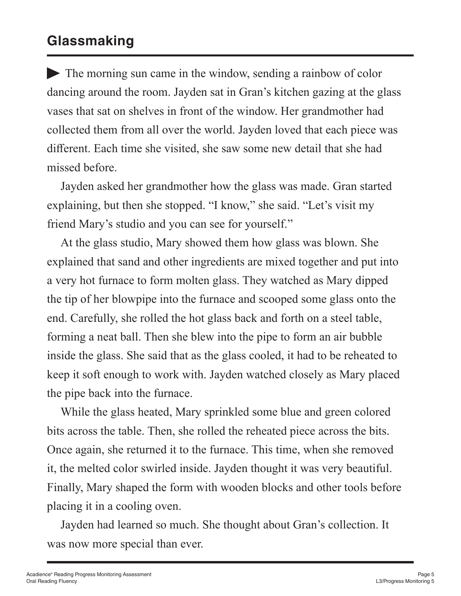#### **Glassmaking**

 The morning sun came in the window, sending a rainbow of color dancing around the room. Jayden sat in Gran's kitchen gazing at the glass vases that sat on shelves in front of the window. Her grandmother had collected them from all over the world. Jayden loved that each piece was different. Each time she visited, she saw some new detail that she had missed before.

 Jayden asked her grandmother how the glass was made. Gran started explaining, but then she stopped. "I know," she said. "Let's visit my friend Mary's studio and you can see for yourself."

 At the glass studio, Mary showed them how glass was blown. She explained that sand and other ingredients are mixed together and put into a very hot furnace to form molten glass. They watched as Mary dipped the tip of her blowpipe into the furnace and scooped some glass onto the end. Carefully, she rolled the hot glass back and forth on a steel table, forming a neat ball. Then she blew into the pipe to form an air bubble inside the glass. She said that as the glass cooled, it had to be reheated to keep it soft enough to work with. Jayden watched closely as Mary placed the pipe back into the furnace.

 While the glass heated, Mary sprinkled some blue and green colored bits across the table. Then, she rolled the reheated piece across the bits. Once again, she returned it to the furnace. This time, when she removed it, the melted color swirled inside. Jayden thought it was very beautiful. Finally, Mary shaped the form with wooden blocks and other tools before placing it in a cooling oven.

 Jayden had learned so much. She thought about Gran's collection. It was now more special than ever.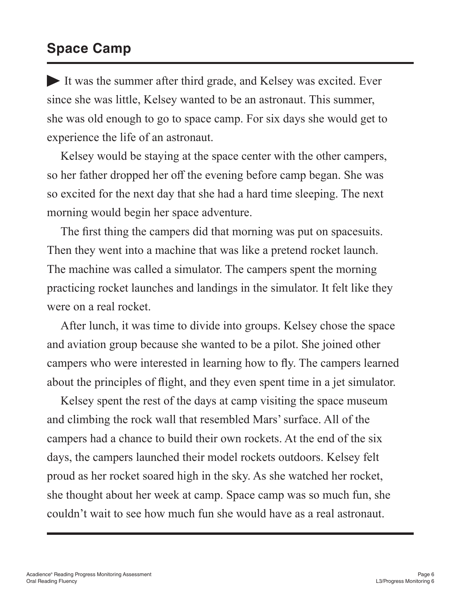#### **Space Camp**

 It was the summer after third grade, and Kelsey was excited. Ever since she was little, Kelsey wanted to be an astronaut. This summer, she was old enough to go to space camp. For six days she would get to experience the life of an astronaut.

 Kelsey would be staying at the space center with the other campers, so her father dropped her off the evening before camp began. She was so excited for the next day that she had a hard time sleeping. The next morning would begin her space adventure.

 The first thing the campers did that morning was put on spacesuits. Then they went into a machine that was like a pretend rocket launch. The machine was called a simulator. The campers spent the morning practicing rocket launches and landings in the simulator. It felt like they were on a real rocket.

 After lunch, it was time to divide into groups. Kelsey chose the space and aviation group because she wanted to be a pilot. She joined other campers who were interested in learning how to fly. The campers learned about the principles of flight, and they even spent time in a jet simulator.

 Kelsey spent the rest of the days at camp visiting the space museum and climbing the rock wall that resembled Mars'surface. All of the campers had a chance to build their own rockets. At the end of the six days, the campers launched their model rockets outdoors. Kelsey felt proud as her rocket soared high in the sky. As she watched her rocket, she thought about her week at camp. Space camp was so much fun, she couldn't wait to see how much fun she would have as a real astronaut.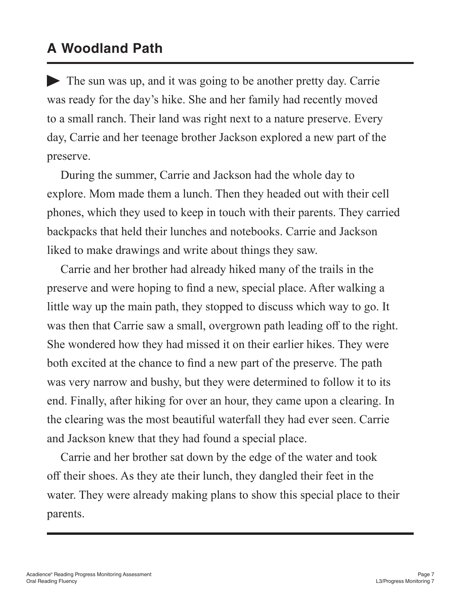#### **A Woodland Path**

The sun was up, and it was going to be another pretty day. Carrie was ready for the day's hike. She and her family had recently moved to a small ranch. Their land was right next to a nature preserve. Every day, Carrie and her teenage brother Jackson explored a new part of the preserve.

 During the summer, Carrie and Jackson had the whole day to explore. Mom made them a lunch. Then they headed out with their cell phones, which they used to keep in touch with their parents. They carried backpacks that held their lunches and notebooks. Carrie and Jackson liked to make drawings and write about things they saw.

 Carrie and her brother had already hiked many of the trails in the preserve and were hoping to find a new, special place. After walking a little way up the main path, they stopped to discuss which way to go. It was then that Carrie saw a small, overgrown path leading off to the right. She wondered how they had missed it on their earlier hikes. They were both excited at the chance to find a new part of the preserve. The path was very narrow and bushy, but they were determined to follow it to its end. Finally, after hiking for over an hour, they came upon a clearing. In the clearing was the most beautiful waterfall they had ever seen. Carrie and Jackson knew that they had found a special place.

 Carrie and her brother sat down by the edge of the water and took off their shoes. As they ate their lunch, they dangled their feet in the water. They were already making plans to show this special place to their parents.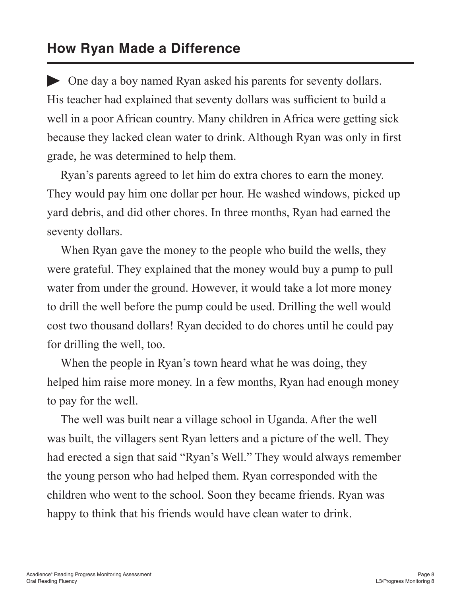#### **How Ryan Made a Difference**

 One day a boy named Ryan asked his parents for seventy dollars. His teacher had explained that seventy dollars was sufficient to build a well in a poor African country. Many children in Africa were getting sick because they lacked clean water to drink. Although Ryan was only in first grade, he was determined to help them.

 Ryan's parents agreed to let him do extra chores to earn the money. They would pay him one dollar per hour. He washed windows, picked up yard debris, and did other chores. In three months, Ryan had earned the seventy dollars.

 When Ryan gave the money to the people who build the wells, they were grateful. They explained that the money would buy a pump to pull water from under the ground. However, it would take a lot more money to drill the well before the pump could be used. Drilling the well would cost two thousand dollars! Ryan decided to do chores until he could pay for drilling the well, too.

 When the people in Ryan's town heard what he was doing, they helped him raise more money. In a few months, Ryan had enough money to pay for the well.

 The well was built near a village school in Uganda. After the well was built, the villagers sent Ryan letters and a picture of the well. They had erected a sign that said "Ryan's Well." They would always remember the young person who had helped them. Ryan corresponded with the children who went to the school. Soon they became friends. Ryan was happy to think that his friends would have clean water to drink.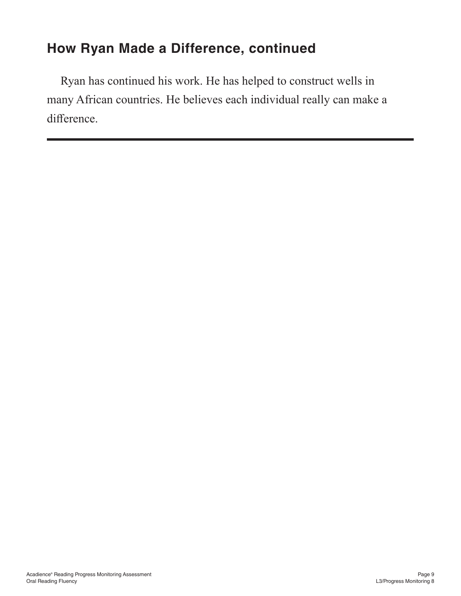#### **How Ryan Made a Difference, continued**

 Ryan has continued his work. He has helped to construct wells in many African countries. He believes each individual really can make a difference.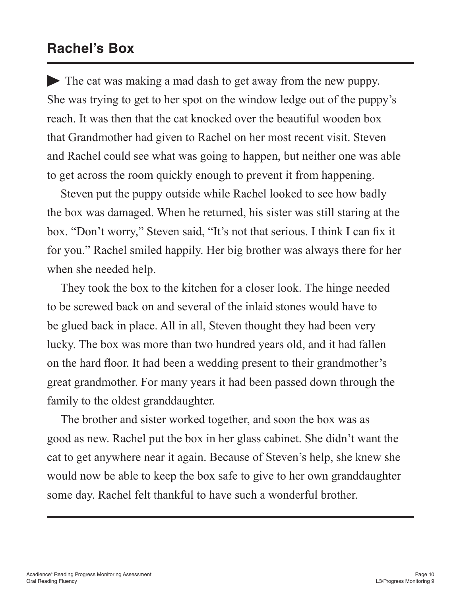#### **Rachel's Box**

 The cat was making a mad dash to get away from the new puppy. She was trying to get to her spot on the window ledge out of the puppy's reach. It was then that the cat knocked over the beautiful wooden box that Grandmother had given to Rachel on her most recent visit. Steven and Rachel could see what was going to happen, but neither one was able to get across the room quickly enough to prevent it from happening.

 Steven put the puppy outside while Rachel looked to see how badly the box was damaged. When he returned, his sister was still staring at the box. "Don't worry," Steven said, "It's not that serious. I think I can fix it for you." Rachel smiled happily. Her big brother was always there for her when she needed help.

 They took the box to the kitchen for a closer look. The hinge needed to be screwed back on and several of the inlaid stones would have to be glued back in place. All in all, Steven thought they had been very lucky. The box was more than two hundred years old, and it had fallen on the hard floor. It had been a wedding present to their grandmother's great grandmother. For many years it had been passed down through the family to the oldest granddaughter.

 The brother and sister worked together, and soon the box was as good as new. Rachel put the box in her glass cabinet. She didn't want the cat to get anywhere near it again. Because of Steven's help, she knew she would now be able to keep the box safe to give to her own granddaughter some day. Rachel felt thankful to have such a wonderful brother.

**Benchmark 3**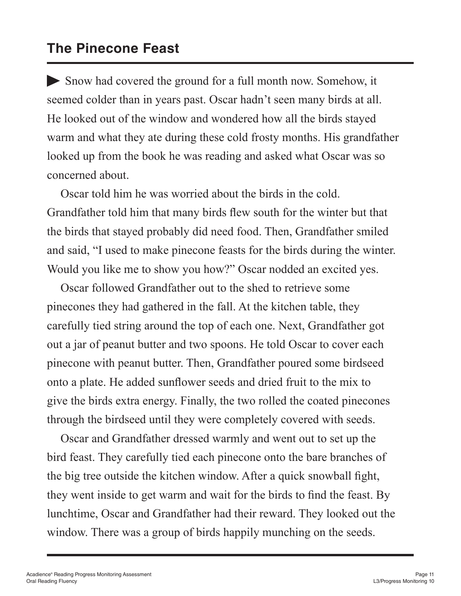#### **The Pinecone Feast**

 Snow had covered the ground for a full month now. Somehow, it seemed colder than in years past. Oscar hadn't seen many birds at all. He looked out of the window and wondered how all the birds stayed warm and what they ate during these cold frosty months. His grandfather looked up from the book he was reading and asked what Oscar was so concerned about.

 Oscar told him he was worried about the birds in the cold. Grandfather told him that many birds flew south for the winter but that the birds that stayed probably did need food. Then, Grandfather smiled and said, "I used to make pinecone feasts for the birds during the winter. Would you like me to show you how?" Oscar nodded an excited yes.

 Oscar followed Grandfather out to the shed to retrieve some pinecones they had gathered in the fall. At the kitchen table, they carefully tied string around the top of each one. Next, Grandfather got out a jar of peanut butter and two spoons. He told Oscar to cover each pinecone with peanut butter. Then, Grandfather poured some birdseed onto a plate. He added sunflower seeds and dried fruit to the mix to give the birds extra energy. Finally, the two rolled the coated pinecones through the birdseed until they were completely covered with seeds.

 Oscar and Grandfather dressed warmly and went out to set up the bird feast. They carefully tied each pinecone onto the bare branches of the big tree outside the kitchen window. After a quick snowball fight, they went inside to get warm and wait for the birds to find the feast. By lunchtime, Oscar and Grandfather had their reward. They looked out the window. There was a group of birds happily munching on the seeds.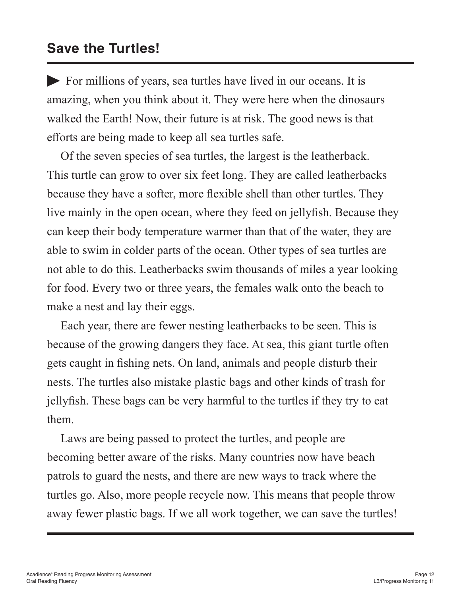#### **Save the Turtles!**

 For millions of years, sea turtles have lived in our oceans. It is amazing, when you think about it. They were here when the dinosaurs walked the Earth! Now, their future is at risk. The good news is that efforts are being made to keep all sea turtles safe.

 Of the seven species of sea turtles, the largest is the leatherback. This turtle can grow to over six feet long. They are called leatherbacks because they have a softer, more flexible shell than other turtles. They live mainly in the open ocean, where they feed on jellyfish. Because they can keep their body temperature warmer than that of the water, they are able to swim in colder parts of the ocean. Other types of sea turtles are not able to do this. Leatherbacks swim thousands of miles a year looking for food. Every two or three years, the females walk onto the beach to make a nest and lay their eggs.

 Each year, there are fewer nesting leatherbacks to be seen. This is because of the growing dangers they face. At sea, this giant turtle often gets caught in fishing nets. On land, animals and people disturb their nests. The turtles also mistake plastic bags and other kinds of trash for jellyfish. These bags can be very harmful to the turtles if they try to eat them.

 Laws are being passed to protect the turtles, and people are becoming better aware of the risks. Many countries now have beach patrols to guard the nests, and there are new ways to track where the turtles go. Also, more people recycle now. This means that people throw away fewer plastic bags. If we all work together, we can save the turtles!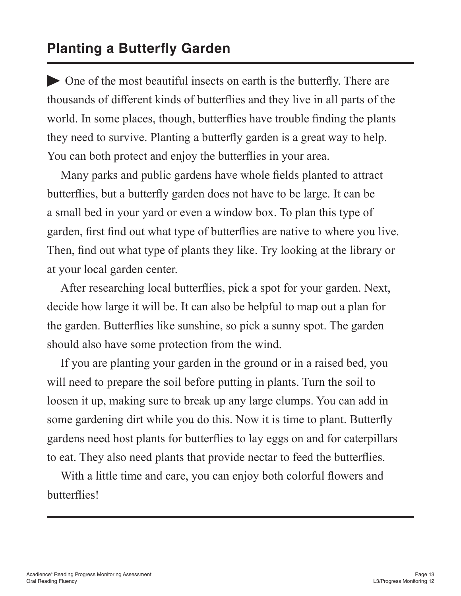#### **Planting a Butterfly Garden**

 One of the most beautiful insects on earth is the butterfly. There are thousands of different kinds of butterflies and they live in all parts of the world. In some places, though, butterflies have trouble finding the plants they need to survive. Planting a butterfly garden is a great way to help. You can both protect and enjoy the butterflies in your area.

 Many parks and public gardens have whole fields planted to attract butterflies, but a butterfly garden does not have to be large. It can be a small bed in your yard or even a window box. To plan this type of garden, first find out what type of butterflies are native to where you live. Then, find out what type of plants they like. Try looking at the library or at your local garden center.

 After researching local butterflies, pick a spot for your garden. Next, decide how large it will be. It can also be helpful to map out a plan for the garden. Butterflies like sunshine, so pick a sunny spot. The garden should also have some protection from the wind.

 If you are planting your garden in the ground or in a raised bed, you will need to prepare the soil before putting in plants. Turn the soil to loosen it up, making sure to break up any large clumps. You can add in some gardening dirt while you do this. Now it is time to plant. Butterfly gardens need host plants for butterflies to lay eggs on and for caterpillars to eat. They also need plants that provide nectar to feed the butterflies.

 With a little time and care, you can enjoy both colorful flowers and butterflies!

**Benchmark 3**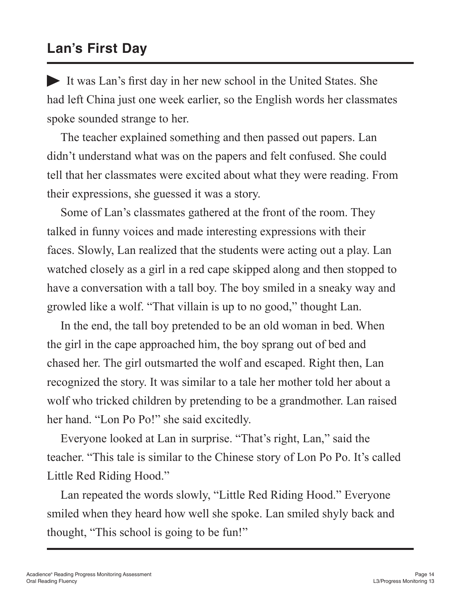#### **Lan's First Day**

It was Lan's first day in her new school in the United States. She had left China just one week earlier, so the English words her classmates spoke sounded strange to her.

 The teacher explained something and then passed out papers. Lan didn't understand what was on the papers and felt confused. She could tell that her classmates were excited about what they were reading. From their expressions, she guessed it was a story.

 Some of Lan's classmates gathered at the front of the room. They talked in funny voices and made interesting expressions with their faces. Slowly, Lan realized that the students were acting out a play. Lan watched closely as a girl in a red cape skipped along and then stopped to have a conversation with a tall boy. The boy smiled in a sneaky way and growled like a wolf. "That villain is up to no good," thought Lan.

 In the end, the tall boy pretended to be an old woman in bed. When the girl in the cape approached him, the boy sprang out of bed and chased her. The girl outsmarted the wolf and escaped. Right then, Lan recognized the story. It was similar to a tale her mother told her about a wolf who tricked children by pretending to be a grandmother. Lan raised her hand. "Lon Po Po!" she said excitedly.

 Everyone looked at Lan in surprise. "That's right, Lan," said the teacher. "This tale is similar to the Chinese story of Lon Po Po. It's called Little Red Riding Hood."

 Lan repeated the words slowly, "Little Red Riding Hood." Everyone smiled when they heard how well she spoke. Lan smiled shyly back and thought, "This school is going to be fun!"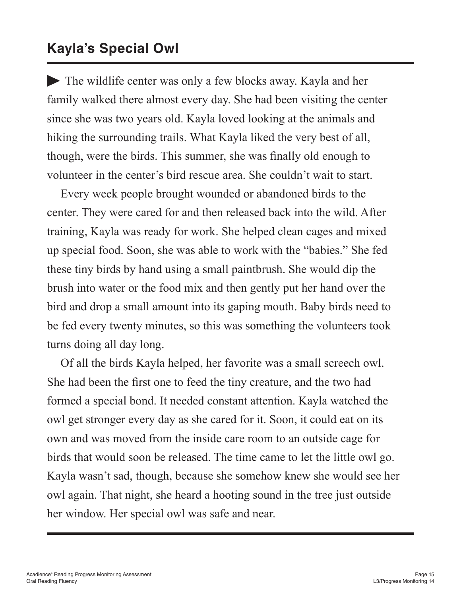#### **Kayla's Special Owl**

 The wildlife center was only a few blocks away. Kayla and her family walked there almost every day. She had been visiting the center since she was two years old. Kayla loved looking at the animals and hiking the surrounding trails. What Kayla liked the very best of all, though, were the birds. This summer, she was finally old enough to volunteer in the center's bird rescue area. She couldn't wait to start.

 Every week people brought wounded or abandoned birds to the center. They were cared for and then released back into the wild. After training, Kayla was ready for work. She helped clean cages and mixed up special food. Soon, she was able to work with the "babies." She fed these tiny birds by hand using a small paintbrush. She would dip the brush into water or the food mix and then gently put her hand over the bird and drop a small amount into its gaping mouth. Baby birds need to be fed every twenty minutes, so this was something the volunteers took turns doing all day long.

 Of all the birds Kayla helped, her favorite was a small screech owl. She had been the first one to feed the tiny creature, and the two had formed a special bond. It needed constant attention. Kayla watched the owl get stronger every day as she cared for it. Soon, it could eat on its own and was moved from the inside care room to an outside cage for birds that would soon be released. The time came to let the little owl go. Kayla wasn't sad, though, because she somehow knew she would see her owl again. That night, she heard a hooting sound in the tree just outside her window. Her special owl was safe and near.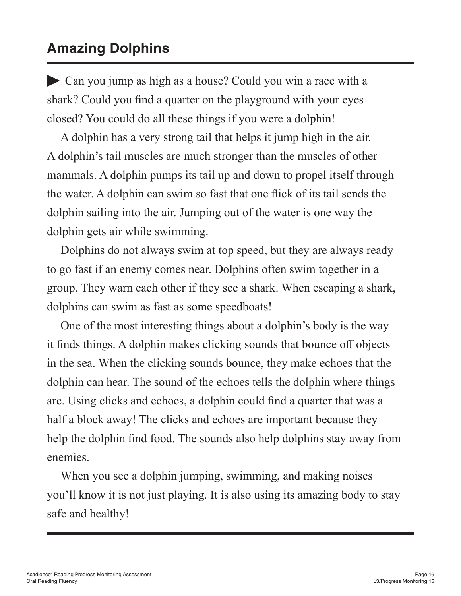#### **Amazing Dolphins**

 Can you jump as high as a house? Could you win a race with a shark? Could you find a quarter on the playground with your eyes closed? You could do all these things if you were a dolphin!

 A dolphin has a very strong tail that helps it jump high in the air. A dolphin's tail muscles are much stronger than the muscles of other mammals. A dolphin pumps its tail up and down to propel itself through the water. A dolphin can swim so fast that one flick of its tail sends the dolphin sailing into the air. Jumping out of the water is one way the dolphin gets air while swimming.

 Dolphins do not always swim at top speed, but they are always ready to go fast if an enemy comes near. Dolphins often swim together in a group. They warn each other if they see a shark. When escaping a shark, dolphins can swim as fast as some speedboats!

 One of the most interesting things about a dolphin's body is the way it finds things. A dolphin makes clicking sounds that bounce off objects in the sea. When the clicking sounds bounce, they make echoes that the dolphin can hear. The sound of the echoes tells the dolphin where things are. Using clicks and echoes, a dolphin could find a quarter that was a half a block away! The clicks and echoes are important because they help the dolphin find food. The sounds also help dolphins stay away from enemies.

 When you see a dolphin jumping, swimming, and making noises you'll know it is not just playing. It is also using its amazing body to stay safe and healthy!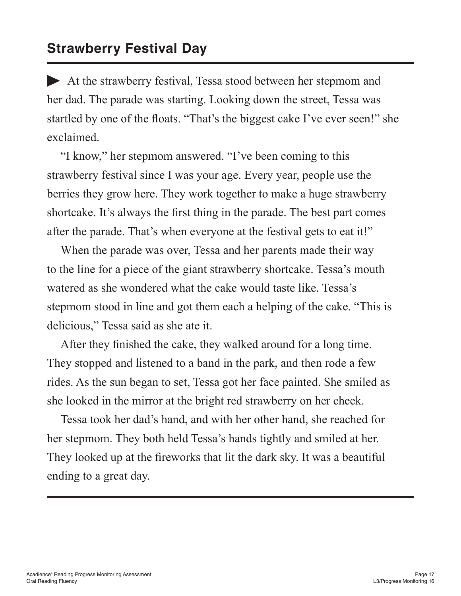#### **Strawberry Festival Day**

 At the strawberry festival, Tessa stood between her stepmom and her dad. The parade was starting. Looking down the street, Tessa was startled by one of the floats. "That's the biggest cake I've ever seen!" she exclaimed.

 "I know," her stepmom answered. "I've been coming to this strawberry festival since I was your age. Every year, people use the berries they grow here. They work together to make a huge strawberry shortcake. It's always the first thing in the parade. The best part comes after the parade. That's when everyone at the festival gets to eat it!"

 When the parade was over, Tessa and her parents made their way to the line for a piece of the giant strawberry shortcake. Tessa's mouth watered as she wondered what the cake would taste like. Tessa's stepmom stood in line and got them each a helping of the cake. "This is delicious," Tessa said as she ate it.

 After they finished the cake, they walked around for a long time. They stopped and listened to a band in the park, and then rode a few rides. As the sun began to set, Tessa got her face painted. She smiled as she looked in the mirror at the bright red strawberry on her cheek.

 Tessa took her dad's hand, and with her other hand, she reached for her stepmom. They both held Tessa's hands tightly and smiled at her. They looked up at the fireworks that lit the dark sky. It was a beautiful ending to a great day.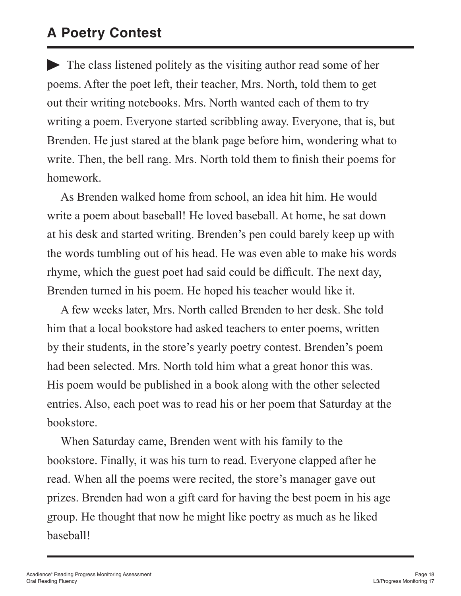#### **A Poetry Contest**

 The class listened politely as the visiting author read some of her poems. After the poet left, their teacher, Mrs. North, told them to get out their writing notebooks. Mrs. North wanted each of them to try writing a poem. Everyone started scribbling away. Everyone, that is, but Brenden. He just stared at the blank page before him, wondering what to write. Then, the bell rang. Mrs. North told them to finish their poems for homework.

 As Brenden walked home from school, an idea hit him. He would write a poem about baseball! He loved baseball. At home, he sat down at his desk and started writing. Brenden's pen could barely keep up with the words tumbling out of his head. He was even able to make his words rhyme, which the guest poet had said could be difficult. The next day, Brenden turned in his poem. He hoped his teacher would like it.

 A few weeks later, Mrs. North called Brenden to her desk. She told him that a local bookstore had asked teachers to enter poems, written by their students, in the store's yearly poetry contest. Brenden's poem had been selected. Mrs. North told him what a great honor this was. His poem would be published in a book along with the other selected entries. Also, each poet was to read his or her poem that Saturday at the bookstore.

 When Saturday came, Brenden went with his family to the bookstore. Finally, it was his turn to read. Everyone clapped after he read. When all the poems were recited, the store's manager gave out prizes. Brenden had won a gift card for having the best poem in his age group. He thought that now he might like poetry as much as he liked baseball!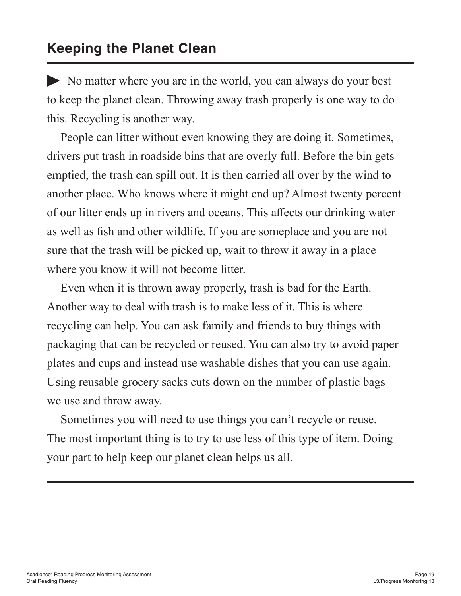#### **Keeping the Planet Clean**

 No matter where you are in the world, you can always do your best to keep the planet clean. Throwing away trash properly is one way to do this. Recycling is another way.

 People can litter without even knowing they are doing it. Sometimes, drivers put trash in roadside bins that are overly full. Before the bin gets emptied, the trash can spill out. It is then carried all over by the wind to another place. Who knows where it might end up? Almost twenty percent of our litter ends up in rivers and oceans. This affects our drinking water as well as fish and other wildlife. If you are someplace and you are not sure that the trash will be picked up, wait to throw it away in a place where you know it will not become litter.

 Even when it is thrown away properly, trash is bad for the Earth. Another way to deal with trash is to make less of it. This is where recycling can help. You can ask family and friends to buy things with packaging that can be recycled or reused. You can also try to avoid paper plates and cups and instead use washable dishes that you can use again. Using reusable grocery sacks cuts down on the number of plastic bags we use and throw away.

 Sometimes you will need to use things you can't recycle or reuse. The most important thing is to try to use less of this type of item. Doing your part to help keep our planet clean helps us all.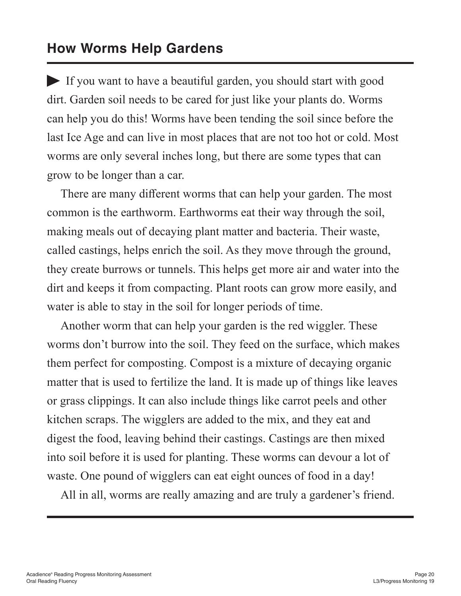#### **How Worms Help Gardens**

If you want to have a beautiful garden, you should start with good dirt. Garden soil needs to be cared for just like your plants do. Worms can help you do this! Worms have been tending the soil since before the last Ice Age and can live in most places that are not too hot or cold. Most worms are only several inches long, but there are some types that can grow to be longer than a car.

 There are many different worms that can help your garden. The most common is the earthworm. Earthworms eat their way through the soil, making meals out of decaying plant matter and bacteria. Their waste, called castings, helps enrich the soil. As they move through the ground, they create burrows or tunnels. This helps get more air and water into the dirt and keeps it from compacting. Plant roots can grow more easily, and water is able to stay in the soil for longer periods of time.

 Another worm that can help your garden is the red wiggler. These worms don't burrow into the soil. They feed on the surface, which makes them perfect for composting. Compost is a mixture of decaying organic matter that is used to fertilize the land. It is made up of things like leaves or grass clippings. It can also include things like carrot peels and other kitchen scraps. The wigglers are added to the mix, and they eat and digest the food, leaving behind their castings. Castings are then mixed into soil before it is used for planting. These worms can devour a lot of waste. One pound of wigglers can eat eight ounces of food in a day!

 All in all, worms are really amazing and are truly a gardener's friend.

**Benchmark 3**